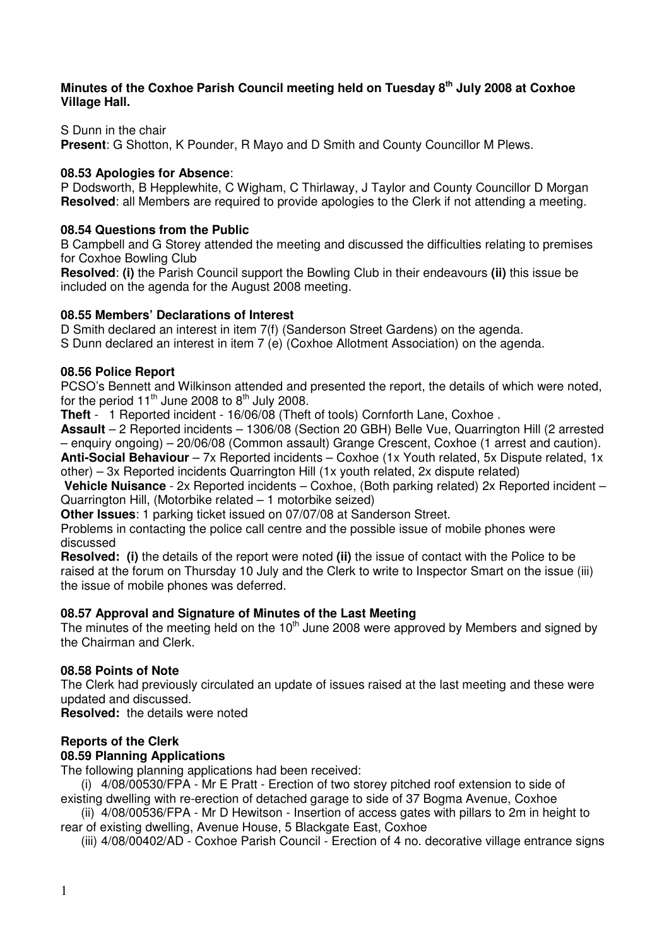### **Minutes of the Coxhoe Parish Council meeting held on Tuesday 8th July 2008 at Coxhoe Village Hall.**

S Dunn in the chair

**Present**: G Shotton, K Pounder, R Mayo and D Smith and County Councillor M Plews.

# **08.53 Apologies for Absence**:

P Dodsworth, B Hepplewhite, C Wigham, C Thirlaway, J Taylor and County Councillor D Morgan **Resolved**: all Members are required to provide apologies to the Clerk if not attending a meeting.

# **08.54 Questions from the Public**

B Campbell and G Storey attended the meeting and discussed the difficulties relating to premises for Coxhoe Bowling Club

**Resolved**: **(i)** the Parish Council support the Bowling Club in their endeavours **(ii)** this issue be included on the agenda for the August 2008 meeting.

# **08.55 Members' Declarations of Interest**

D Smith declared an interest in item 7(f) (Sanderson Street Gardens) on the agenda.

S Dunn declared an interest in item 7 (e) (Coxhoe Allotment Association) on the agenda.

# **08.56 Police Report**

PCSO's Bennett and Wilkinson attended and presented the report, the details of which were noted, for the period  $11<sup>th</sup>$  June 2008 to  $8<sup>th</sup>$  July 2008.

**Theft** - 1 Reported incident - 16/06/08 (Theft of tools) Cornforth Lane, Coxhoe .

**Assault** – 2 Reported incidents – 1306/08 (Section 20 GBH) Belle Vue, Quarrington Hill (2 arrested – enquiry ongoing) – 20/06/08 (Common assault) Grange Crescent, Coxhoe (1 arrest and caution).

**Anti-Social Behaviour** – 7x Reported incidents – Coxhoe (1x Youth related, 5x Dispute related, 1x other) – 3x Reported incidents Quarrington Hill (1x youth related, 2x dispute related)

**Vehicle Nuisance** - 2x Reported incidents – Coxhoe, (Both parking related) 2x Reported incident – Quarrington Hill, (Motorbike related – 1 motorbike seized)

**Other Issues**: 1 parking ticket issued on 07/07/08 at Sanderson Street.

Problems in contacting the police call centre and the possible issue of mobile phones were discussed

**Resolved: (i)** the details of the report were noted **(ii)** the issue of contact with the Police to be raised at the forum on Thursday 10 July and the Clerk to write to Inspector Smart on the issue (iii) the issue of mobile phones was deferred.

# **08.57 Approval and Signature of Minutes of the Last Meeting**

The minutes of the meeting held on the  $10<sup>th</sup>$  June 2008 were approved by Members and signed by the Chairman and Clerk.

# **08.58 Points of Note**

The Clerk had previously circulated an update of issues raised at the last meeting and these were updated and discussed.

**Resolved:** the details were noted

# **Reports of the Clerk**

# **08.59 Planning Applications**

The following planning applications had been received:

(i) 4/08/00530/FPA - Mr E Pratt - Erection of two storey pitched roof extension to side of existing dwelling with re-erection of detached garage to side of 37 Bogma Avenue, Coxhoe

(ii) 4/08/00536/FPA - Mr D Hewitson - Insertion of access gates with pillars to 2m in height to rear of existing dwelling, Avenue House, 5 Blackgate East, Coxhoe

(iii) 4/08/00402/AD - Coxhoe Parish Council - Erection of 4 no. decorative village entrance signs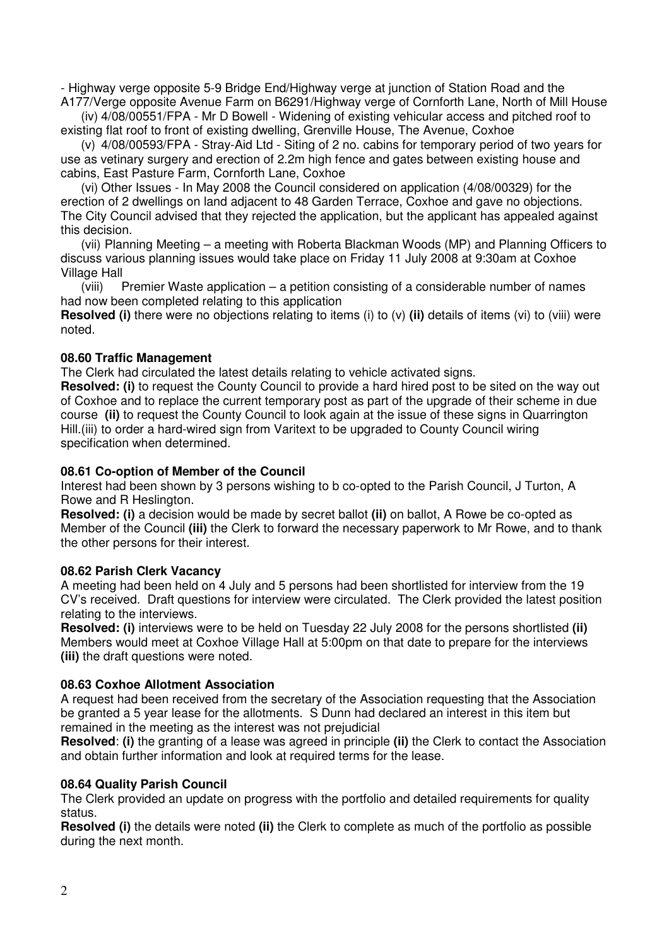- Highway verge opposite 5-9 Bridge End/Highway verge at junction of Station Road and the A177/Verge opposite Avenue Farm on B6291/Highway verge of Cornforth Lane, North of Mill House

(iv) 4/08/00551/FPA - Mr D Bowell - Widening of existing vehicular access and pitched roof to existing flat roof to front of existing dwelling, Grenville House, The Avenue, Coxhoe

(v) 4/08/00593/FPA - Stray-Aid Ltd - Siting of 2 no. cabins for temporary period of two years for use as vetinary surgery and erection of 2.2m high fence and gates between existing house and cabins, East Pasture Farm, Cornforth Lane, Coxhoe

(vi) Other Issues - In May 2008 the Council considered on application (4/08/00329) for the erection of 2 dwellings on land adjacent to 48 Garden Terrace, Coxhoe and gave no objections. The City Council advised that they rejected the application, but the applicant has appealed against this decision.

(vii) Planning Meeting – a meeting with Roberta Blackman Woods (MP) and Planning Officers to discuss various planning issues would take place on Friday 11 July 2008 at 9:30am at Coxhoe Village Hall

(viii) Premier Waste application – a petition consisting of a considerable number of names had now been completed relating to this application

**Resolved (i)** there were no objections relating to items (i) to (v) **(ii)** details of items (vi) to (viii) were noted.

#### **08.60 Traffic Management**

The Clerk had circulated the latest details relating to vehicle activated signs.

**Resolved: (i)** to request the County Council to provide a hard hired post to be sited on the way out of Coxhoe and to replace the current temporary post as part of the upgrade of their scheme in due course **(ii)** to request the County Council to look again at the issue of these signs in Quarrington Hill.(iii) to order a hard-wired sign from Varitext to be upgraded to County Council wiring specification when determined.

#### **08.61 Co-option of Member of the Council**

Interest had been shown by 3 persons wishing to b co-opted to the Parish Council, J Turton, A Rowe and R Heslington.

**Resolved: (i)** a decision would be made by secret ballot **(ii)** on ballot, A Rowe be co-opted as Member of the Council **(iii)** the Clerk to forward the necessary paperwork to Mr Rowe, and to thank the other persons for their interest.

#### **08.62 Parish Clerk Vacancy**

A meeting had been held on 4 July and 5 persons had been shortlisted for interview from the 19 CV's received. Draft questions for interview were circulated. The Clerk provided the latest position relating to the interviews.

**Resolved: (i)** interviews were to be held on Tuesday 22 July 2008 for the persons shortlisted **(ii)** Members would meet at Coxhoe Village Hall at 5:00pm on that date to prepare for the interviews **(iii)** the draft questions were noted.

### **08.63 Coxhoe Allotment Association**

A request had been received from the secretary of the Association requesting that the Association be granted a 5 year lease for the allotments. S Dunn had declared an interest in this item but remained in the meeting as the interest was not prejudicial

**Resolved**: **(i)** the granting of a lease was agreed in principle **(ii)** the Clerk to contact the Association and obtain further information and look at required terms for the lease.

### **08.64 Quality Parish Council**

The Clerk provided an update on progress with the portfolio and detailed requirements for quality status.

**Resolved (i)** the details were noted **(ii)** the Clerk to complete as much of the portfolio as possible during the next month.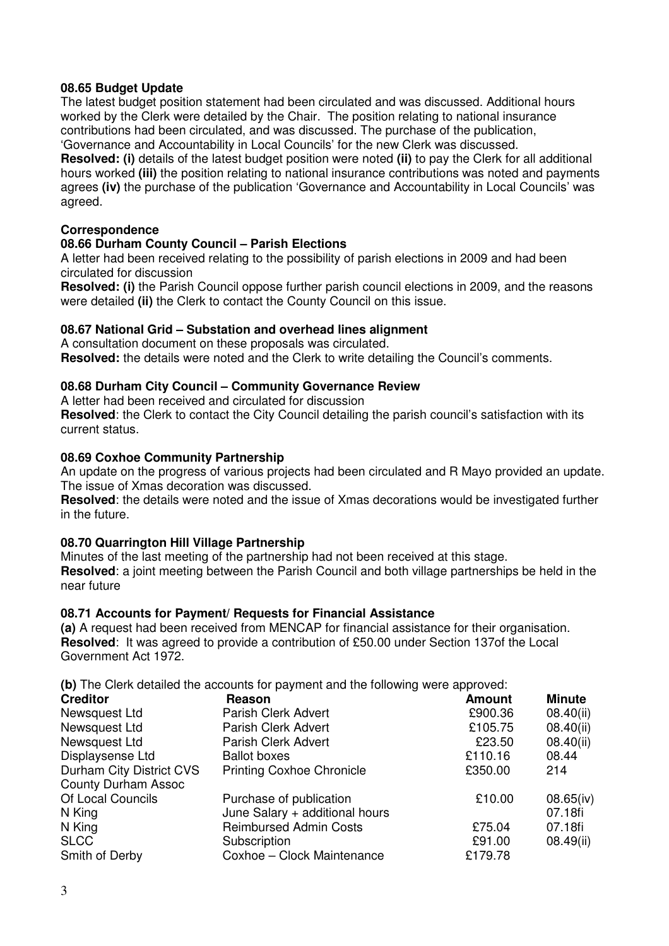# **08.65 Budget Update**

The latest budget position statement had been circulated and was discussed. Additional hours worked by the Clerk were detailed by the Chair. The position relating to national insurance contributions had been circulated, and was discussed. The purchase of the publication, 'Governance and Accountability in Local Councils' for the new Clerk was discussed.

**Resolved: (i)** details of the latest budget position were noted **(ii)** to pay the Clerk for all additional hours worked **(iii)** the position relating to national insurance contributions was noted and payments agrees **(iv)** the purchase of the publication 'Governance and Accountability in Local Councils' was agreed.

### **Correspondence**

# **08.66 Durham County Council – Parish Elections**

A letter had been received relating to the possibility of parish elections in 2009 and had been circulated for discussion

**Resolved: (i)** the Parish Council oppose further parish council elections in 2009, and the reasons were detailed **(ii)** the Clerk to contact the County Council on this issue.

# **08.67 National Grid – Substation and overhead lines alignment**

A consultation document on these proposals was circulated. **Resolved:** the details were noted and the Clerk to write detailing the Council's comments.

# **08.68 Durham City Council – Community Governance Review**

A letter had been received and circulated for discussion

**Resolved**: the Clerk to contact the City Council detailing the parish council's satisfaction with its current status.

# **08.69 Coxhoe Community Partnership**

An update on the progress of various projects had been circulated and R Mayo provided an update. The issue of Xmas decoration was discussed.

**Resolved**: the details were noted and the issue of Xmas decorations would be investigated further in the future.

### **08.70 Quarrington Hill Village Partnership**

Minutes of the last meeting of the partnership had not been received at this stage. **Resolved**: a joint meeting between the Parish Council and both village partnerships be held in the near future

### **08.71 Accounts for Payment/ Requests for Financial Assistance**

**(a)** A request had been received from MENCAP for financial assistance for their organisation. **Resolved**: It was agreed to provide a contribution of £50.00 under Section 137of the Local Government Act 1972.

**(b)** The Clerk detailed the accounts for payment and the following were approved:

| <b>Creditor</b>            | Reason                           | <b>Amount</b> | <b>Minute</b> |
|----------------------------|----------------------------------|---------------|---------------|
| Newsquest Ltd              | Parish Clerk Advert              | £900.36       | 08.40(ii)     |
| Newsquest Ltd              | Parish Clerk Advert              | £105.75       | 08.40(ii)     |
| Newsquest Ltd              | Parish Clerk Advert              | £23.50        | 08.40(ii)     |
| Displaysense Ltd           | <b>Ballot boxes</b>              | £110.16       | 08.44         |
| Durham City District CVS   | <b>Printing Coxhoe Chronicle</b> | £350.00       | 214           |
| <b>County Durham Assoc</b> |                                  |               |               |
| Of Local Councils          | Purchase of publication          | £10.00        | 08.65(iv)     |
| N King                     | June Salary + additional hours   |               | 07.18fi       |
| N King                     | <b>Reimbursed Admin Costs</b>    | £75.04        | 07.18fi       |
| <b>SLCC</b>                | Subscription                     | £91.00        | 08.49(ii)     |
| Smith of Derby             | Coxhoe - Clock Maintenance       | £179.78       |               |